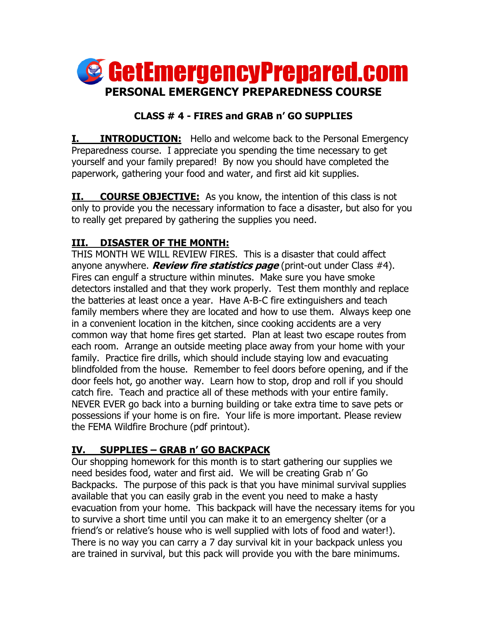

## **CLASS # 4 - FIRES and GRAB n' GO SUPPLIES**

**I. INTRODUCTION:** Hello and welcome back to the Personal Emergency Preparedness course. I appreciate you spending the time necessary to get yourself and your family prepared! By now you should have completed the paperwork, gathering your food and water, and first aid kit supplies.

**II. COURSE OBJECTIVE:** As you know, the intention of this class is not only to provide you the necessary information to face a disaster, but also for you to really get prepared by gathering the supplies you need.

## **III. DISASTER OF THE MONTH:**

THIS MONTH WE WILL REVIEW FIRES. This is a disaster that could affect anyone anywhere. **Review fire statistics page** (print-out under Class #4). Fires can engulf a structure within minutes. Make sure you have smoke detectors installed and that they work properly. Test them monthly and replace the batteries at least once a year. Have A-B-C fire extinguishers and teach family members where they are located and how to use them. Always keep one in a convenient location in the kitchen, since cooking accidents are a very common way that home fires get started. Plan at least two escape routes from each room. Arrange an outside meeting place away from your home with your family. Practice fire drills, which should include staying low and evacuating blindfolded from the house. Remember to feel doors before opening, and if the door feels hot, go another way. Learn how to stop, drop and roll if you should catch fire. Teach and practice all of these methods with your entire family. NEVER EVER go back into a burning building or take extra time to save pets or possessions if your home is on fire. Your life is more important. Please review the FEMA Wildfire Brochure (pdf printout).

## **IV. SUPPLIES – GRAB n' GO BACKPACK**

Our shopping homework for this month is to start gathering our supplies we need besides food, water and first aid. We will be creating Grab n' Go Backpacks. The purpose of this pack is that you have minimal survival supplies available that you can easily grab in the event you need to make a hasty evacuation from your home. This backpack will have the necessary items for you to survive a short time until you can make it to an emergency shelter (or a friend's or relative's house who is well supplied with lots of food and water!). There is no way you can carry a 7 day survival kit in your backpack unless you are trained in survival, but this pack will provide you with the bare minimums.